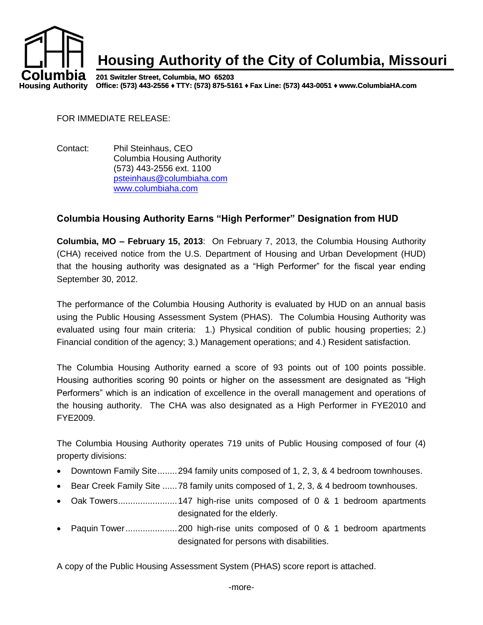

FOR IMMEDIATE RELEASE:

Contact: Phil Steinhaus, CEO Columbia Housing Authority (573) 443-2556 ext. 1100 [psteinhaus@columbiaha.com](mailto:psteinhaus@columbiaha.com) [www.columbiaha.com](http://www.columbiaha.com/)

## **Columbia Housing Authority Earns "High Performer" Designation from HUD**

**Columbia, MO – February 15, 2013**: On February 7, 2013, the Columbia Housing Authority (CHA) received notice from the U.S. Department of Housing and Urban Development (HUD) that the housing authority was designated as a "High Performer" for the fiscal year ending September 30, 2012.

The performance of the Columbia Housing Authority is evaluated by HUD on an annual basis using the Public Housing Assessment System (PHAS). The Columbia Housing Authority was evaluated using four main criteria: 1.) Physical condition of public housing properties; 2.) Financial condition of the agency; 3.) Management operations; and 4.) Resident satisfaction.

The Columbia Housing Authority earned a score of 93 points out of 100 points possible. Housing authorities scoring 90 points or higher on the assessment are designated as "High Performers" which is an indication of excellence in the overall management and operations of the housing authority. The CHA was also designated as a High Performer in FYE2010 and FYE2009.

The Columbia Housing Authority operates 719 units of Public Housing composed of four (4) property divisions:

- Downtown Family Site........294 family units composed of 1, 2, 3, & 4 bedroom townhouses.
- Bear Creek Family Site ......78 family units composed of 1, 2, 3, & 4 bedroom townhouses.
- Oak Towers........................147 high-rise units composed of 0 & 1 bedroom apartments designated for the elderly.
- Paquin Tower.....................200 high-rise units composed of 0 & 1 bedroom apartments designated for persons with disabilities.

A copy of the Public Housing Assessment System (PHAS) score report is attached.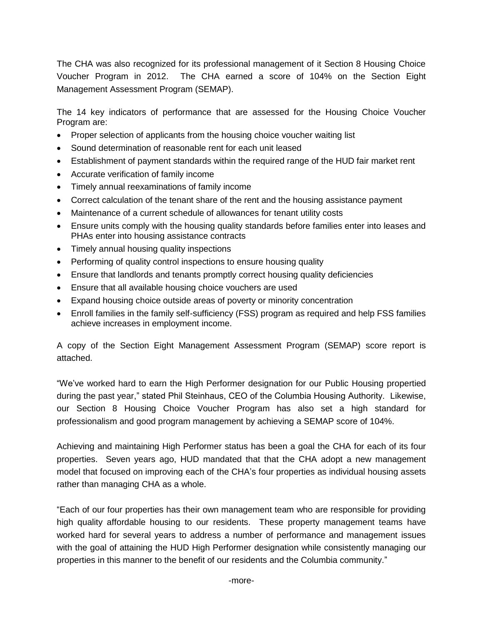The CHA was also recognized for its professional management of it Section 8 Housing Choice Voucher Program in 2012. The CHA earned a score of 104% on the Section Eight Management Assessment Program (SEMAP).

The 14 key indicators of performance that are assessed for the Housing Choice Voucher Program are:

- Proper selection of applicants from the housing choice voucher waiting list
- Sound determination of reasonable rent for each unit leased
- Establishment of payment standards within the required range of the HUD fair market rent
- Accurate verification of family income
- Timely annual reexaminations of family income
- Correct calculation of the tenant share of the rent and the housing assistance payment
- Maintenance of a current schedule of allowances for tenant utility costs
- Ensure units comply with the housing quality standards before families enter into leases and PHAs enter into housing assistance contracts
- Timely annual housing quality inspections
- Performing of quality control inspections to ensure housing quality
- Ensure that landlords and tenants promptly correct housing quality deficiencies
- Ensure that all available housing choice vouchers are used
- Expand housing choice outside areas of poverty or minority concentration
- Enroll families in the family self-sufficiency (FSS) program as required and help FSS families achieve increases in employment income.

A copy of the Section Eight Management Assessment Program (SEMAP) score report is attached.

"We've worked hard to earn the High Performer designation for our Public Housing propertied during the past year," stated Phil Steinhaus, CEO of the Columbia Housing Authority. Likewise, our Section 8 Housing Choice Voucher Program has also set a high standard for professionalism and good program management by achieving a SEMAP score of 104%.

Achieving and maintaining High Performer status has been a goal the CHA for each of its four properties. Seven years ago, HUD mandated that that the CHA adopt a new management model that focused on improving each of the CHA's four properties as individual housing assets rather than managing CHA as a whole.

"Each of our four properties has their own management team who are responsible for providing high quality affordable housing to our residents. These property management teams have worked hard for several years to address a number of performance and management issues with the goal of attaining the HUD High Performer designation while consistently managing our properties in this manner to the benefit of our residents and the Columbia community."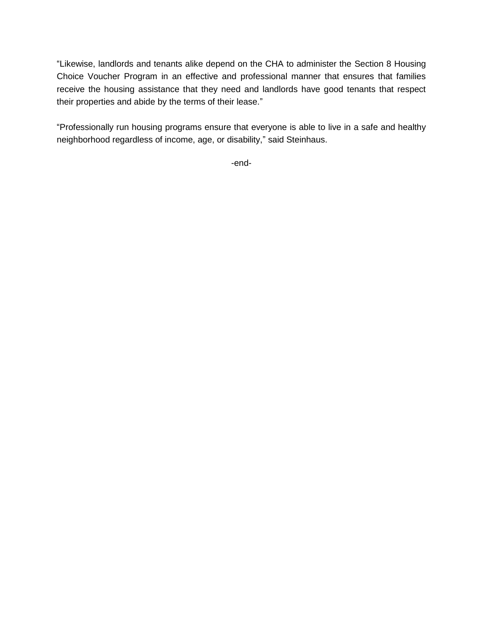"Likewise, landlords and tenants alike depend on the CHA to administer the Section 8 Housing Choice Voucher Program in an effective and professional manner that ensures that families receive the housing assistance that they need and landlords have good tenants that respect their properties and abide by the terms of their lease."

"Professionally run housing programs ensure that everyone is able to live in a safe and healthy neighborhood regardless of income, age, or disability," said Steinhaus.

-end-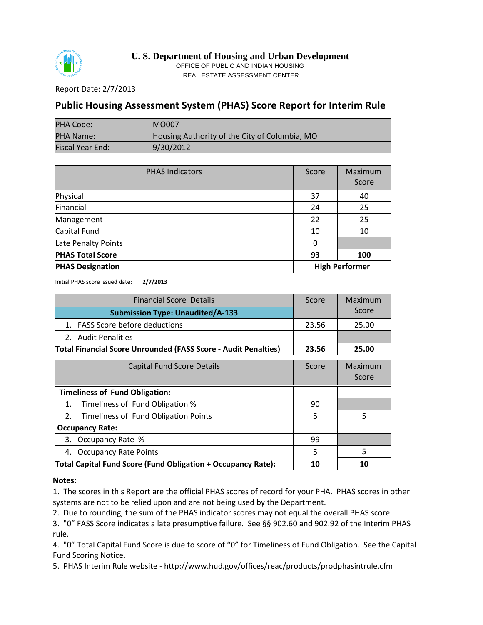

**U. S. Department of Housing and Urban Development** OFFICE OF PUBLIC AND INDIAN HOUSING REAL ESTATE ASSESSMENT CENTER

Report Date: 2/7/2013

## **Public Housing Assessment System (PHAS) Score Report for Interim Rule**

| PHA Code:               | <b>IMO007</b>                                 |
|-------------------------|-----------------------------------------------|
| <b>PHA Name:</b>        | Housing Authority of the City of Columbia, MO |
| <b>Fiscal Year End:</b> | 9/30/2012                                     |

| <b>PHAS Indicators</b>                           | Score | Maximum<br>Score |
|--------------------------------------------------|-------|------------------|
| Physical                                         | 37    | 40               |
| Financial                                        | 24    | 25               |
| Management                                       | 22    | 25               |
| Capital Fund                                     | 10    | 10               |
| Late Penalty Points                              | 0     |                  |
| <b>PHAS Total Score</b>                          | 93    | 100              |
| <b>High Performer</b><br><b>PHAS Designation</b> |       |                  |

Initial PHAS score issued date: **2/7/2013**

| <b>Financial Score Details</b>                                        | Score | Maximum          |
|-----------------------------------------------------------------------|-------|------------------|
| <b>Submission Type: Unaudited/A-133</b>                               |       | Score            |
| 1. FASS Score before deductions                                       | 23.56 | 25.00            |
| 2. Audit Penalities                                                   |       |                  |
| <b>Total Financial Score Unrounded (FASS Score - Audit Penalties)</b> | 23.56 | 25.00            |
| <b>Capital Fund Score Details</b>                                     | Score | Maximum<br>Score |
| <b>Timeliness of Fund Obligation:</b>                                 |       |                  |
| Timeliness of Fund Obligation %<br>1.                                 | 90    |                  |
| Timeliness of Fund Obligation Points<br>2.                            | 5     | 5                |
| <b>Occupancy Rate:</b>                                                |       |                  |
| Occupancy Rate %<br>3.                                                | 99    |                  |
| 4. Occupancy Rate Points                                              | 5     | 5                |
| Total Capital Fund Score (Fund Obligation + Occupancy Rate):          | 10    | 10               |

## **Notes:**

1. The scores in this Report are the official PHAS scores of record for your PHA. PHAS scores in other systems are not to be relied upon and are not being used by the Department.

2. Due to rounding, the sum of the PHAS indicator scores may not equal the overall PHAS score.

3. "0" FASS Score indicates a late presumptive failure. See §§ 902.60 and 902.92 of the Interim PHAS rule.

4. "0" Total Capital Fund Score is due to score of "0" for Timeliness of Fund Obligation. See the Capital Fund Scoring Notice.

5. PHAS Interim Rule website - http://www.hud.gov/offices/reac/products/prodphasintrule.cfm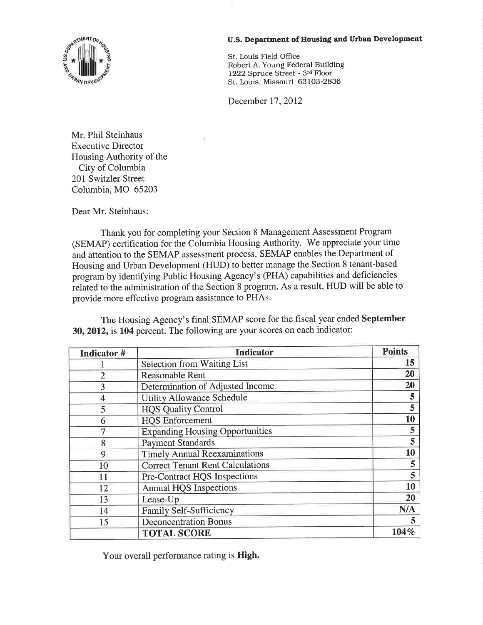

## U.S. Department of Housing and Urban Development

St. Louis Field Office Robert A. Young Federal Building 1222 Spruce Street - 3rd Floor St. Louis, Missouri 63103-2836

December 17, 2012

Mr. Phil Steinhaus **Executive Director** Housing Authority of the City of Columbia 201 Switzler Street Columbia, MO 65203

Dear Mr. Steinhaus:

Thank you for completing your Section 8 Management Assessment Program (SEMAP) certification for the Columbia Housing Authority. We appreciate your time and attention to the SEMAP assessment process. SEMAP enables the Department of Housing and Urban Development (HUD) to better manage the Section 8 tenant-based program by identifying Public Housing Agency's (PHA) capabilities and deficiencies related to the administration of the Section 8 program. As a result, HUD will be able to provide more effective program assistance to PHAs.

The Housing Agency's final SEMAP score for the fiscal year ended September 30, 2012, is 104 percent. The following are your scores on each indicator:

| Indicator #    | <b>Indicator</b>                        | <b>Points</b> |
|----------------|-----------------------------------------|---------------|
|                | <b>Selection from Waiting List</b>      | 15            |
| $\overline{2}$ | Reasonable Rent                         | 20            |
| 3              | Determination of Adjusted Income        | 20            |
| 4              | <b>Utility Allowance Schedule</b>       | 5             |
| 5              | <b>HQS Quality Control</b>              | 5             |
| 6              | <b>HOS Enforcement</b>                  | 10            |
|                | <b>Expanding Housing Opportunities</b>  | 5             |
| 8              | <b>Payment Standards</b>                | 5             |
| 9              | <b>Timely Annual Reexaminations</b>     | 10            |
| 10             | <b>Correct Tenant Rent Calculations</b> | 5             |
| 11             | <b>Pre-Contract HQS Inspections</b>     | 5             |
| 12             | <b>Annual HQS Inspections</b>           | 10            |
| 13             | Lease-Up                                | 20            |
| 14             | <b>Family Self-Sufficiency</b>          | N/A           |
| 15             | <b>Deconcentration Bonus</b>            | 5             |
|                | <b>TOTAL SCORE</b>                      | 104%          |

Your overall performance rating is High.